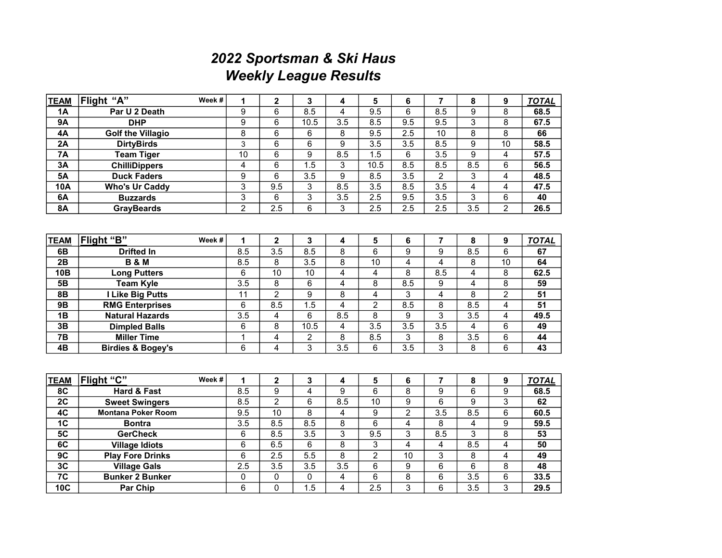## 2022 Sportsman & Ski Haus Weekly League Results

| <b>TEAM</b>     | Flight "A"                   | Week # | 1                | $\overline{\mathbf{c}}$ | 3                         | 4                       | 5                | 6                | $\overline{7}$          | 8                | 9                       | <b>TOTAL</b>      |
|-----------------|------------------------------|--------|------------------|-------------------------|---------------------------|-------------------------|------------------|------------------|-------------------------|------------------|-------------------------|-------------------|
| <b>1A</b>       | Par U 2 Death                |        | 9                | $\overline{6}$          | 8.5                       | $\overline{\mathbf{4}}$ | $\overline{9.5}$ | 6                | 8.5                     | 9                | $\overline{8}$          | 68.5              |
| 9A              | <b>DHP</b>                   |        | $\overline{9}$   | 6                       | 10.5                      | $\overline{3.5}$        | 8.5              | $\overline{9.5}$ | 9.5                     | 3                | $\overline{8}$          | 67.5              |
| 4A              | <b>Golf the Villagio</b>     |        | $\overline{8}$   | $\overline{6}$          | 6                         | 8                       | 9.5              | 2.5              | 10                      | $\overline{8}$   | $\overline{8}$          | 66                |
| $\overline{2A}$ | <b>DirtyBirds</b>            |        | 3                | 6                       | $\overline{6}$            | 9                       | $\overline{3.5}$ | 3.5              | 8.5                     | 9                | 10                      | 58.5              |
| $\overline{7A}$ | <b>Team Tiger</b>            |        | $\overline{10}$  | 6                       | $\overline{9}$            | 8.5                     | $\overline{1.5}$ | 6                | 3.5                     | 9                | $\overline{4}$          | $\overline{57.5}$ |
| 3A              | <b>ChilliDippers</b>         |        | 4                | $\overline{6}$          | 1.5                       | 3                       | 10.5             | 8.5              | 8.5                     | 8.5              | $\overline{6}$          | 56.5              |
| 5A              | <b>Duck Faders</b>           |        | 9                | 6                       | $\overline{3.5}$          | 9                       | 8.5              | 3.5              | $\overline{2}$          | 3                | $\overline{4}$          | 48.5              |
| <b>10A</b>      | <b>Who's Ur Caddy</b>        |        | $\overline{3}$   | 9.5                     | 3                         | 8.5                     | $\overline{3.5}$ | 8.5              | 3.5                     | 4                | $\overline{4}$          | 47.5              |
| 6A              | <b>Buzzards</b>              |        | $\overline{3}$   | 6                       | $\overline{\overline{3}}$ | 3.5                     | 2.5              | 9.5              | 3.5                     | 3                | $6\phantom{1}6$         | 40                |
| 8A              | <b>GrayBeards</b>            |        | $\overline{2}$   | 2.5                     | $\overline{6}$            | $\overline{3}$          | 2.5              | 2.5              | 2.5                     | 3.5              | $\overline{2}$          | 26.5              |
|                 |                              |        |                  |                         |                           |                         |                  |                  |                         |                  |                         |                   |
| <b>TEAM</b>     | Flight "B"                   | Week#  | 1                | $\overline{\mathbf{2}}$ | 3                         | 4                       | 5                | 6                | 7                       | 8                | 9                       | <b>TOTAL</b>      |
| 6B              | <b>Drifted In</b>            |        | 8.5              | 3.5                     | 8.5                       | 8                       | $\overline{6}$   | 9                | $\overline{9}$          | 8.5              | 6                       | 67                |
| 2B              | <b>B&amp;M</b>               |        | 8.5              | 8                       | $\overline{3.5}$          | 8                       | $\overline{10}$  | 4                | $\overline{4}$          | 8                | $\overline{10}$         | 64                |
| 10B             | <b>Long Putters</b>          |        | 6                | 10                      | 10                        | 4                       | 4                | $\overline{8}$   | 8.5                     | 4                | 8                       | 62.5              |
| 5B              | <b>Team Kyle</b>             |        | 3.5              | 8                       | 6                         | 4                       | 8                | 8.5              | 9                       | 4                | $\overline{8}$          | 59                |
| 8B              | I Like Big Putts             |        | 11               | $\overline{2}$          | $\overline{9}$            | 8                       | 4                | 3                | $\overline{\mathbf{4}}$ | 8                | $\overline{2}$          | $\overline{51}$   |
| <b>9B</b>       | <b>RMG Enterprises</b>       |        | 6                | 8.5                     | 1.5                       | $\overline{\mathbf{4}}$ | $\overline{2}$   | 8.5              | 8                       | 8.5              | $\overline{4}$          | 51                |
| $\overline{AB}$ | <b>Natural Hazards</b>       |        | $\overline{3.5}$ | 4                       | 6                         | 8.5                     | $\overline{8}$   | 9                | $\overline{3}$          | $\overline{3.5}$ | $\overline{4}$          | 49.5              |
| 3B              | <b>Dimpled Balls</b>         |        | 6                | 8                       | 10.5                      | 4                       | $\overline{3.5}$ | 3.5              | 3.5                     | 4                | 6                       | 49                |
| <b>7B</b>       | <b>Miller Time</b>           |        | $\overline{1}$   | $\overline{\mathbf{4}}$ | 2                         | 8                       | 8.5              | 3                | 8                       | 3.5              | $6\phantom{1}6$         | 44                |
| 4B              | <b>Birdies &amp; Bogey's</b> |        | $\overline{6}$   | 4                       | $\overline{3}$            | $\overline{3.5}$        | 6                | $\overline{3.5}$ | $\overline{3}$          | 8                | $\overline{6}$          | 43                |
|                 |                              |        |                  |                         |                           |                         |                  |                  |                         |                  |                         |                   |
| <b>TEAM</b>     | Flight "C"                   | Week # | 1                | $\mathbf 2$             | 3                         | 4                       | 5                | 6                | $\overline{\mathbf{r}}$ | 8                | 9                       | <b>TOTAL</b>      |
| 8C              | Hard & Fast                  |        | 8.5              | 9                       | $\overline{4}$            | 9                       | 6                | 8                | $\overline{9}$          | 6                | 9                       | 68.5              |
| $\overline{2C}$ | <b>Sweet Swingers</b>        |        | 8.5              | $\overline{2}$          | $\overline{6}$            | 8.5                     | $\overline{10}$  | $\overline{9}$   | $\overline{6}$          | 9                | $\overline{3}$          | 62                |
| 4C              | <b>Montana Poker Room</b>    |        | 9.5              | 10                      | $\overline{8}$            | 4                       | 9                | $\overline{2}$   | 3.5                     | 8.5              | $\overline{6}$          | 60.5              |
| 1 <sub>C</sub>  | <b>Bontra</b>                |        | $\overline{3.5}$ | 8.5                     | 8.5                       | $\overline{8}$          | $\overline{6}$   | $\overline{4}$   | 8                       | 4                | $\overline{9}$          | 59.5              |
| 5 <sub>C</sub>  | <b>GerCheck</b>              |        | 6                | 8.5                     | $\overline{3.5}$          | 3                       | 9.5              | $\overline{3}$   | 8.5                     | 3                | 8                       | 53                |
| 6C              | <b>Village Idiots</b>        |        | $\overline{6}$   | 6.5                     | 6                         | $\overline{8}$          | 3                | $\overline{4}$   | 4                       | 8.5              | $\overline{\mathbf{4}}$ | 50                |
| 9C              | <b>Play Fore Drinks</b>      |        | $\overline{6}$   | 2.5                     | $\overline{5.5}$          | $\overline{8}$          | $\overline{2}$   | $\overline{10}$  | $\overline{3}$          | 8                | $\overline{\mathbf{4}}$ | 49                |
| 3C              | <b>Village Gals</b>          |        | 2.5              | 3.5                     | $\overline{3.5}$          | $\overline{3.5}$        | 6                | $\boldsymbol{9}$ | $\overline{6}$          | 6                | 8                       | 48                |
| $\overline{7C}$ | <b>Bunker 2 Bunker</b>       |        | 0                | $\pmb{0}$               | 0                         | 4                       | $\,6$            | $\overline{8}$   | $\overline{6}$          | $\overline{3.5}$ | $6\phantom{1}6$         | 33.5              |
| 10C             | <b>Par Chip</b>              |        | $\overline{6}$   | 0                       | 1.5                       | 4                       | 2.5              | $\overline{3}$   | $\overline{6}$          | $\overline{3.5}$ | $\overline{3}$          | 29.5              |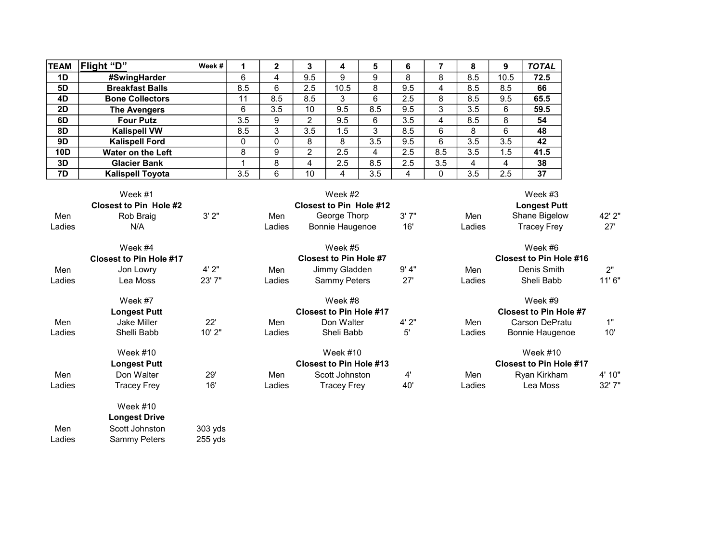| <b>TEAM</b>                                                                           | Flight "D"              | Week # |     | $\mathbf{2}$ | 3             | 4    | 5   | 6   | 7   | 8                              | 9    | <b>TOTAL</b> |
|---------------------------------------------------------------------------------------|-------------------------|--------|-----|--------------|---------------|------|-----|-----|-----|--------------------------------|------|--------------|
| 1D                                                                                    | #SwingHarder            |        | 6   | 4            | 9.5           | 9    | 9   | 8   | 8   | 8.5                            | 10.5 | 72.5         |
| 5D                                                                                    | <b>Breakfast Balls</b>  |        | 8.5 | 6            | 2.5           | 10.5 | 8   | 9.5 | 4   | 8.5                            | 8.5  | 66           |
| 4D                                                                                    | <b>Bone Collectors</b>  |        | 11  | 8.5          | 8.5           | 3    | 6   | 2.5 | 8   | 8.5                            | 9.5  | 65.5         |
| <b>2D</b>                                                                             | <b>The Avengers</b>     |        | 6   | 3.5          | 10            | 9.5  | 8.5 | 9.5 | 3   | 3.5                            | 6    | 59.5         |
| 6D                                                                                    | <b>Four Putz</b>        |        | 3.5 | 9            | 2             | 9.5  | 6   | 3.5 | 4   | 8.5                            | 8    | 54           |
| 8D                                                                                    | <b>Kalispell VW</b>     |        | 8.5 | 3            | 3.5           | 1.5  | 3   | 8.5 | 6   | 8                              | 6    | 48           |
| 9D                                                                                    | <b>Kalispell Ford</b>   |        | 0   | 0            | 8             | 8    | 3.5 | 9.5 | 6   | 3.5                            | 3.5  | 42           |
| <b>10D</b>                                                                            | Water on the Left       |        | 8   | 9            | $\mathcal{P}$ | 2.5  | 4   | 2.5 | 8.5 | 3.5                            | 1.5  | 41.5         |
| 3D                                                                                    | <b>Glacier Bank</b>     |        |     | 8            | 4             | 2.5  | 8.5 | 2.5 | 3.5 | 4                              | 4    | 38           |
| 7D                                                                                    | <b>Kalispell Toyota</b> |        | 3.5 | 6            | 10            | 4    | 3.5 | 4   | 0   | 3.5                            | 2.5  | 37           |
| Week #1<br>Week #2<br><b>Closest to Pin Hole #2</b><br><b>Closest to Pin Hole #12</b> |                         |        |     |              |               |      |     |     |     | Week #3<br><b>Longest Putt</b> |      |              |

|        | <b>Closest to Pin Hole #2</b>  |         |        | <b>Closest to Pin Hole #12</b> |       |                                | <b>Longest Putt</b>            |        |  |
|--------|--------------------------------|---------|--------|--------------------------------|-------|--------------------------------|--------------------------------|--------|--|
| Men    | Rob Braig                      | 3'2"    | Men    | George Thorp                   | 3'7'' | Men                            | Shane Bigelow                  | 42' 2" |  |
| Ladies | N/A                            |         | Ladies | Bonnie Haugenoe                | 16'   | Ladies                         | <b>Tracey Frey</b>             | 27'    |  |
|        | Week #4                        |         |        | Week #5                        |       |                                | Week #6                        |        |  |
|        | <b>Closest to Pin Hole #17</b> |         |        | <b>Closest to Pin Hole #7</b>  |       |                                | <b>Closest to Pin Hole #16</b> |        |  |
| Men    | Jon Lowry                      | 4'2"    | Men    | Jimmy Gladden                  | 9' 4" | Men                            | Denis Smith                    | 2"     |  |
| Ladies | Lea Moss                       | 23'7"   | Ladies | <b>Sammy Peters</b>            | 27'   | Ladies                         | Sheli Babb                     | 11'6"  |  |
|        | Week #7                        |         |        | Week #8                        |       |                                | Week #9                        |        |  |
|        | <b>Longest Putt</b>            |         |        | <b>Closest to Pin Hole #17</b> |       |                                | <b>Closest to Pin Hole #7</b>  |        |  |
| Men    | <b>Jake Miller</b>             | 22'     | Men    | Don Walter                     | 4'2"  | Men                            | Carson DePratu                 | 1"     |  |
| Ladies | Shelli Babb                    | 10'2"   | Ladies | Sheli Babb                     | 5'    | Ladies                         | <b>Bonnie Haugenoe</b>         | 10'    |  |
|        | Week $\#10$                    |         |        | Week $#10$                     |       |                                | Week $#10$                     |        |  |
|        | <b>Longest Putt</b>            |         |        | <b>Closest to Pin Hole #13</b> |       | <b>Closest to Pin Hole #17</b> |                                |        |  |
| Men    | Don Walter                     | 29'     | Men    | Scott Johnston                 | 4'    | Men                            | Ryan Kirkham                   | 4' 10" |  |
| Ladies | Tracey Frey                    | 16'     | Ladies | <b>Tracey Frey</b>             | 40'   | Ladies                         | Lea Moss                       | 32' 7" |  |
|        | Week $\#10$                    |         |        |                                |       |                                |                                |        |  |
|        | <b>Longest Drive</b>           |         |        |                                |       |                                |                                |        |  |
| Men    | Scott Johnston                 | 303 yds |        |                                |       |                                |                                |        |  |

Ladies Sammy Peters 255 yds